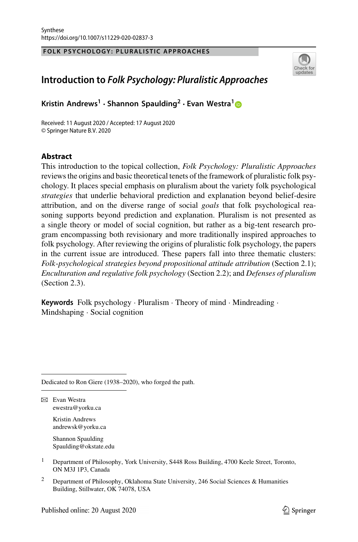#### **FOLK PSYCHOLOGY: PLURALISTIC APPROACHES**



# **Introduction to** *Folk Psychology: Pluralistic Approaches*

**Kristin Andrews<sup>1</sup> · Shannon Spaulding<sup>2</sup> · Evan Westra[1](http://orcid.org/0000-0003-2005-7998)**

Received: 11 August 2020 / Accepted: 17 August 2020 © Springer Nature B.V. 2020

#### **Abstract**

**Abstract** This introduction to the topical collection, *Folk Psychology: Pluralistic Approaches* reviews the origins and basic theoretical tenets of the framework of pluralistic folk psychology. It places special emphasis on pluralism about the variety folk psychological *strategies* that underlie behavioral prediction and explanation beyond belief-desire attribution, and on the diverse range of social *goals* that folk psychological reasoning supports beyond prediction and explanation. Pluralism is not presented as a single theory or model of social cognition, but rather as a big-tent research program encompassing both revisionary and more traditionally inspired approaches to folk psychology. After reviewing the origins of pluralistic folk psychology, the papers in the current issue are introduced. These papers fall into three thematic clusters: *Folk*-*psychological strategies beyond propositional attitude attribution* (Section 2.1); *Enculturation and regulative folk psychology* (Section 2.2); and *Defenses of pluralism* (Section 2.3).

**Keywords** Folk psychology · Pluralism · Theory of mind · Mindreading · Mindshaping · Social cognition

Dedicated to Ron Giere (1938–2020), who forged the path.

 $\boxtimes$  Evan Westra ewestra@yorku.ca

> Kristin Andrews andrewsk@yorku.ca

Shannon Spaulding Spaulding@okstate.edu

- <sup>1</sup> Department of Philosophy, York University, S448 Ross Building, 4700 Keele Street, Toronto, ON M3J 1P3, Canada
- <sup>2</sup> Department of Philosophy, Oklahoma State University, 246 Social Sciences & Humanities Building, Stillwater, OK 74078, USA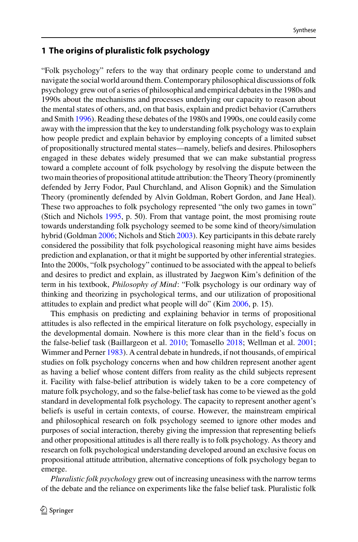# **1 The origins of pluralistic folk psychology**

"Folk psychology" refers to the way that ordinary people come to understand and navigate the social world around them. Contemporary philosophical discussions of folk psychology grew out of a series of philosophical and empirical debates in the 1980s and 1990s about the mechanisms and processes underlying our capacity to reason about the mental states of others, and, on that basis, explain and predict behavior (Carruthers and Smith [1996\)](#page-14-0). Reading these debates of the 1980s and 1990s, one could easily come away with the impression that the key to understanding folk psychology was to explain how people predict and explain behavior by employing concepts of a limited subset of propositionally structured mental states—namely, beliefs and desires. Philosophers engaged in these debates widely presumed that we can make substantial progress toward a complete account of folk psychology by resolving the dispute between the two main theories of propositional attitude attribution: the Theory Theory (prominently defended by Jerry Fodor, Paul Churchland, and Alison Gopnik) and the Simulation Theory (prominently defended by Alvin Goldman, Robert Gordon, and Jane Heal). These two approaches to folk psychology represented "the only two games in town" (Stich and Nichols [1995,](#page-15-0) p. 50). From that vantage point, the most promising route towards understanding folk psychology seemed to be some kind of theory/simulation hybrid (Goldman [2006;](#page-14-1) Nichols and Stich [2003\)](#page-15-1). Key participants in this debate rarely considered the possibility that folk psychological reasoning might have aims besides prediction and explanation, or that it might be supported by other inferential strategies. Into the 2000s, "folk psychology" continued to be associated with the appeal to beliefs and desires to predict and explain, as illustrated by Jaegwon Kim's definition of the term in his textbook, *Philosophy of Mind*: "Folk psychology is our ordinary way of thinking and theorizing in psychological terms, and our utilization of propositional attitudes to explain and predict what people will do" (Kim [2006,](#page-14-2) p. 15).

This emphasis on predicting and explaining behavior in terms of propositional attitudes is also reflected in the empirical literature on folk psychology, especially in the developmental domain. Nowhere is this more clear than in the field's focus on the false-belief task (Baillargeon et al. [2010;](#page-14-3) Tomasello [2018;](#page-15-2) Wellman et al. [2001;](#page-15-3) Wimmer and Perner [1983\)](#page-15-4). A central debate in hundreds, if not thousands, of empirical studies on folk psychology concerns when and how children represent another agent as having a belief whose content differs from reality as the child subjects represent it. Facility with false-belief attribution is widely taken to be a core competency of mature folk psychology, and so the false-belief task has come to be viewed as the gold standard in developmental folk psychology. The capacity to represent another agent's beliefs is useful in certain contexts, of course. However, the mainstream empirical and philosophical research on folk psychology seemed to ignore other modes and purposes of social interaction, thereby giving the impression that representing beliefs and other propositional attitudes is all there really is to folk psychology. As theory and research on folk psychological understanding developed around an exclusive focus on propositional attitude attribution, alternative conceptions of folk psychology began to emerge.

*Pluralistic folk psychology* grew out of increasing uneasiness with the narrow terms of the debate and the reliance on experiments like the false belief task. Pluralistic folk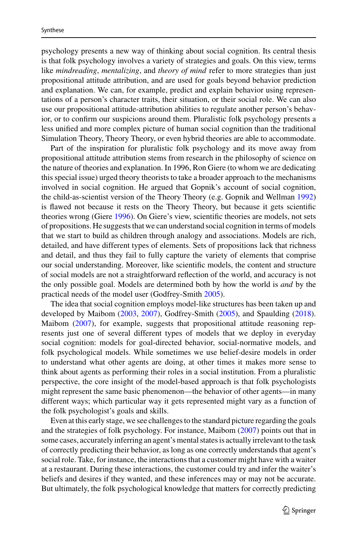psychology presents a new way of thinking about social cognition. Its central thesis is that folk psychology involves a variety of strategies and goals. On this view, terms like *mindreading*, *mentalizing*, and *theory of mind* refer to more strategies than just propositional attitude attribution, and are used for goals beyond behavior prediction and explanation. We can, for example, predict and explain behavior using representations of a person's character traits, their situation, or their social role. We can also use our propositional attitude-attribution abilities to regulate another person's behavior, or to confirm our suspicions around them. Pluralistic folk psychology presents a less unified and more complex picture of human social cognition than the traditional Simulation Theory, Theory Theory, or even hybrid theories are able to accommodate.

Part of the inspiration for pluralistic folk psychology and its move away from propositional attitude attribution stems from research in the philosophy of science on the nature of theories and explanation. In 1996, Ron Giere (to whom we are dedicating this special issue) urged theory theorists to take a broader approach to the mechanisms involved in social cognition. He argued that Gopnik's account of social cognition, the child-as-scientist version of the Theory Theory (e.g. Gopnik and Wellman [1992\)](#page-14-4) is flawed not because it rests on the Theory Theory, but because it gets scientific theories wrong (Giere [1996\)](#page-14-5). On Giere's view, scientific theories are models, not sets of propositions. He suggests that we can understand social cognition in terms of models that we start to build as children through analogy and associations. Models are rich, detailed, and have different types of elements. Sets of propositions lack that richness and detail, and thus they fail to fully capture the variety of elements that comprise our social understanding. Moreover, like scientific models, the content and structure of social models are not a straightforward reflection of the world, and accuracy is not the only possible goal. Models are determined both by how the world is *and* by the practical needs of the model user (Godfrey-Smith [2005\)](#page-14-6).

The idea that social cognition employs model-like structures has been taken up and developed by Maibom [\(2003,](#page-14-7) [2007\)](#page-14-8), Godfrey-Smith [\(2005\)](#page-14-6), and Spaulding [\(2018\)](#page-15-5). Maibom [\(2007\)](#page-14-8), for example, suggests that propositional attitude reasoning represents just one of several different types of models that we deploy in everyday social cognition: models for goal-directed behavior, social-normative models, and folk psychological models. While sometimes we use belief-desire models in order to understand what other agents are doing, at other times it makes more sense to think about agents as performing their roles in a social institution. From a pluralistic perspective, the core insight of the model-based approach is that folk psychologists might represent the same basic phenomenon—the behavior of other agents—in many different ways; which particular way it gets represented might vary as a function of the folk psychologist's goals and skills.

Even at this early stage, we see challenges to the standard picture regarding the goals and the strategies of folk psychology. For instance, Maibom [\(2007\)](#page-14-8) points out that in some cases, accurately inferring an agent's mental states is actually irrelevant to the task of correctly predicting their behavior, as long as one correctly understands that agent's social role. Take, for instance, the interactions that a customer might have with a waiter at a restaurant. During these interactions, the customer could try and infer the waiter's beliefs and desires if they wanted, and these inferences may or may not be accurate. But ultimately, the folk psychological knowledge that matters for correctly predicting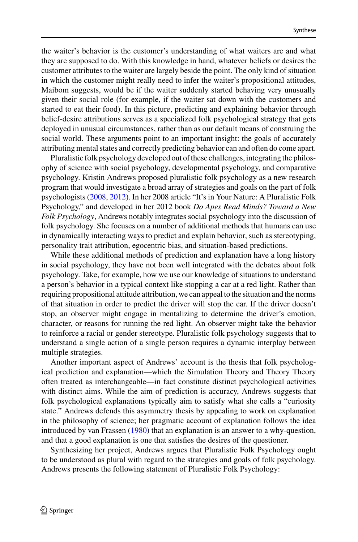the waiter's behavior is the customer's understanding of what waiters are and what they are supposed to do. With this knowledge in hand, whatever beliefs or desires the customer attributes to the waiter are largely beside the point. The only kind of situation in which the customer might really need to infer the waiter's propositional attitudes, Maibom suggests, would be if the waiter suddenly started behaving very unusually given their social role (for example, if the waiter sat down with the customers and started to eat their food). In this picture, predicting and explaining behavior through belief-desire attributions serves as a specialized folk psychological strategy that gets deployed in unusual circumstances, rather than as our default means of construing the social world. These arguments point to an important insight: the goals of accurately attributing mental states and correctly predicting behavior can and often do come apart.

Pluralistic folk psychology developed out of these challenges, integrating the philosophy of science with social psychology, developmental psychology, and comparative psychology. Kristin Andrews proposed pluralistic folk psychology as a new research program that would investigate a broad array of strategies and goals on the part of folk psychologists [\(2008,](#page-14-9) [2012\)](#page-14-10). In her 2008 article "It's in Your Nature: A Pluralistic Folk Psychology," and developed in her 2012 book *Do Apes Read Minds? Toward a New Folk Psychology*, Andrews notably integrates social psychology into the discussion of folk psychology. She focuses on a number of additional methods that humans can use in dynamically interacting ways to predict and explain behavior, such as stereotyping, personality trait attribution, egocentric bias, and situation-based predictions.

While these additional methods of prediction and explanation have a long history in social psychology, they have not been well integrated with the debates about folk psychology. Take, for example, how we use our knowledge of situations to understand a person's behavior in a typical context like stopping a car at a red light. Rather than requiring propositional attitude attribution, we can appeal to the situation and the norms of that situation in order to predict the driver will stop the car. If the driver doesn't stop, an observer might engage in mentalizing to determine the driver's emotion, character, or reasons for running the red light. An observer might take the behavior to reinforce a racial or gender stereotype. Pluralistic folk psychology suggests that to understand a single action of a single person requires a dynamic interplay between multiple strategies.

Another important aspect of Andrews' account is the thesis that folk psychological prediction and explanation—which the Simulation Theory and Theory Theory often treated as interchangeable—in fact constitute distinct psychological activities with distinct aims. While the aim of prediction is accuracy, Andrews suggests that folk psychological explanations typically aim to satisfy what she calls a "curiosity state." Andrews defends this asymmetry thesis by appealing to work on explanation in the philosophy of science; her pragmatic account of explanation follows the idea introduced by van Frassen [\(1980\)](#page-15-6) that an explanation is an answer to a why-question, and that a good explanation is one that satisfies the desires of the questioner.

Synthesizing her project, Andrews argues that Pluralistic Folk Psychology ought to be understood as plural with regard to the strategies and goals of folk psychology. Andrews presents the following statement of Pluralistic Folk Psychology: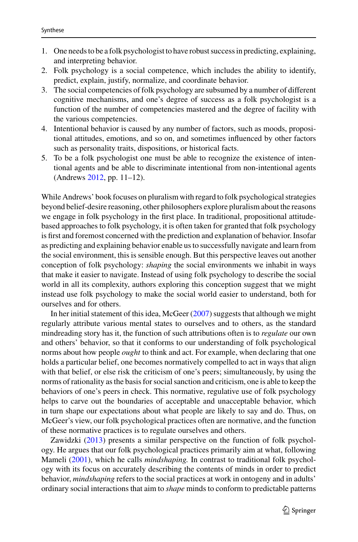- 1. One needs to be a folk psychologist to have robust success in predicting, explaining, and interpreting behavior.
- 2. Folk psychology is a social competence, which includes the ability to identify, predict, explain, justify, normalize, and coordinate behavior.
- 3. The social competencies of folk psychology are subsumed by a number of different cognitive mechanisms, and one's degree of success as a folk psychologist is a function of the number of competencies mastered and the degree of facility with the various competencies.
- 4. Intentional behavior is caused by any number of factors, such as moods, propositional attitudes, emotions, and so on, and sometimes influenced by other factors such as personality traits, dispositions, or historical facts.
- 5. To be a folk psychologist one must be able to recognize the existence of intentional agents and be able to discriminate intentional from non-intentional agents (Andrews [2012,](#page-14-10) pp. 11–12).

While Andrews' book focuses on pluralism with regard to folk psychological strategies beyond belief-desire reasoning, other philosophers explore pluralism about the reasons we engage in folk psychology in the first place. In traditional, propositional attitudebased approaches to folk psychology, it is often taken for granted that folk psychology is first and foremost concerned with the prediction and explanation of behavior. Insofar as predicting and explaining behavior enable us to successfully navigate and learn from the social environment, this is sensible enough. But this perspective leaves out another conception of folk psychology: *shaping* the social environments we inhabit in ways that make it easier to navigate. Instead of using folk psychology to describe the social world in all its complexity, authors exploring this conception suggest that we might instead use folk psychology to make the social world easier to understand, both for ourselves and for others.

In her initial statement of this idea, McGeer [\(2007\)](#page-15-7) suggests that although we might regularly attribute various mental states to ourselves and to others, as the standard mindreading story has it, the function of such attributions often is to *regulate* our own and others' behavior, so that it conforms to our understanding of folk psychological norms about how people *ought* to think and act. For example, when declaring that one holds a particular belief, one becomes normatively compelled to act in ways that align with that belief, or else risk the criticism of one's peers; simultaneously, by using the norms of rationality as the basis for social sanction and criticism, one is able to keep the behaviors of one's peers in check. This normative, regulative use of folk psychology helps to carve out the boundaries of acceptable and unacceptable behavior, which in turn shape our expectations about what people are likely to say and do. Thus, on McGeer's view, our folk psychological practices often are normative, and the function of these normative practices is to regulate ourselves and others.

Zawidzki [\(2013\)](#page-15-8) presents a similar perspective on the function of folk psychology. He argues that our folk psychological practices primarily aim at what, following Mameli [\(2001\)](#page-15-9), which he calls *mindshaping.* In contrast to traditional folk psychology with its focus on accurately describing the contents of minds in order to predict behavior, *mindshaping* refers to the social practices at work in ontogeny and in adults' ordinary social interactions that aim to *shape* minds to conform to predictable patterns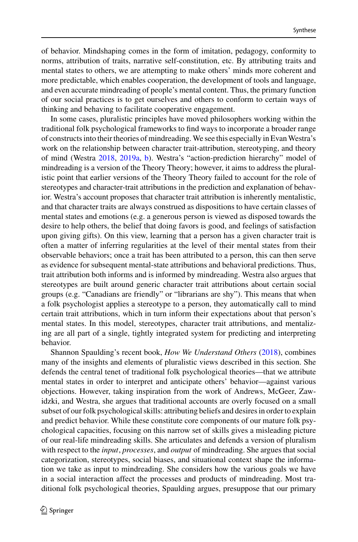of behavior. Mindshaping comes in the form of imitation, pedagogy, conformity to norms, attribution of traits, narrative self-constitution, etc. By attributing traits and mental states to others, we are attempting to make others' minds more coherent and more predictable, which enables cooperation, the development of tools and language, and even accurate mindreading of people's mental content. Thus, the primary function of our social practices is to get ourselves and others to conform to certain ways of thinking and behaving to facilitate cooperative engagement.

In some cases, pluralistic principles have moved philosophers working within the traditional folk psychological frameworks to find ways to incorporate a broader range of constructs into their theories of mindreading.We see this especially in EvanWestra's work on the relationship between character trait-attribution, stereotyping, and theory of mind (Westra [2018,](#page-15-10) [2019a,](#page-15-11) [b\)](#page-15-12). Westra's "action-prediction hierarchy" model of mindreading is a version of the Theory Theory; however, it aims to address the pluralistic point that earlier versions of the Theory Theory failed to account for the role of stereotypes and character-trait attributions in the prediction and explanation of behavior. Westra's account proposes that character trait attribution is inherently mentalistic, and that character traits are always construed as dispositions to have certain classes of mental states and emotions (e.g. a generous person is viewed as disposed towards the desire to help others, the belief that doing favors is good, and feelings of satisfaction upon giving gifts). On this view, learning that a person has a given character trait is often a matter of inferring regularities at the level of their mental states from their observable behaviors; once a trait has been attributed to a person, this can then serve as evidence for subsequent mental-state attributions and behavioral predictions. Thus, trait attribution both informs and is informed by mindreading. Westra also argues that stereotypes are built around generic character trait attributions about certain social groups (e.g. "Canadians are friendly" or "librarians are shy"). This means that when a folk psychologist applies a stereotype to a person, they automatically call to mind certain trait attributions, which in turn inform their expectations about that person's mental states. In this model, stereotypes, character trait attributions, and mentalizing are all part of a single, tightly integrated system for predicting and interpreting behavior.

Shannon Spaulding's recent book, *How We Understand Others* [\(2018\)](#page-15-5), combines many of the insights and elements of pluralistic views described in this section. She defends the central tenet of traditional folk psychological theories—that we attribute mental states in order to interpret and anticipate others' behavior—against various objections. However, taking inspiration from the work of Andrews, McGeer, Zawidzki, and Westra, she argues that traditional accounts are overly focused on a small subset of our folk psychological skills: attributing beliefs and desires in order to explain and predict behavior. While these constitute core components of our mature folk psychological capacities, focusing on this narrow set of skills gives a misleading picture of our real-life mindreading skills. She articulates and defends a version of pluralism with respect to the *input*, *processes*, and *output* of mindreading. She argues that social categorization, stereotypes, social biases, and situational context shape the information we take as input to mindreading. She considers how the various goals we have in a social interaction affect the processes and products of mindreading. Most traditional folk psychological theories, Spaulding argues, presuppose that our primary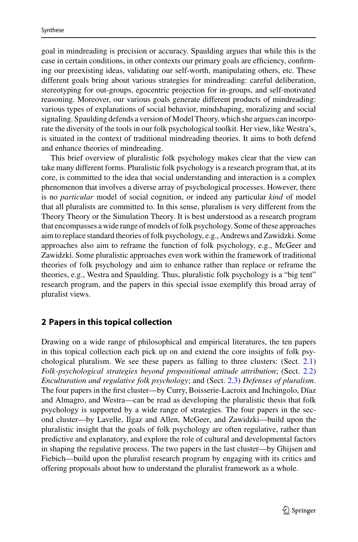goal in mindreading is precision or accuracy. Spaulding argues that while this is the case in certain conditions, in other contexts our primary goals are efficiency, confirming our preexisting ideas, validating our self-worth, manipulating others, etc. These different goals bring about various strategies for mindreading: careful deliberation, stereotyping for out-groups, egocentric projection for in-groups, and self-motivated reasoning. Moreover, our various goals generate different products of mindreading: various types of explanations of social behavior, mindshaping, moralizing and social signaling. Spaulding defends a version of Model Theory, which she argues can incorporate the diversity of the tools in our folk psychological toolkit. Her view, like Westra's, is situated in the context of traditional mindreading theories. It aims to both defend and enhance theories of mindreading.

This brief overview of pluralistic folk psychology makes clear that the view can take many different forms. Pluralistic folk psychology is a research program that, at its core, is committed to the idea that social understanding and interaction is a complex phenomenon that involves a diverse array of psychological processes. However, there is no *particular* model of social cognition, or indeed any particular *kind* of model that all pluralists are committed to. In this sense, pluralism is very different from the Theory Theory or the Simulation Theory. It is best understood as a research program that encompasses a wide range of models of folk psychology. Some of these approaches aim to replace standard theories of folk psychology, e.g., Andrews and Zawidzki. Some approaches also aim to reframe the function of folk psychology, e.g., McGeer and Zawidzki. Some pluralistic approaches even work within the framework of traditional theories of folk psychology and aim to enhance rather than replace or reframe the theories, e.g., Westra and Spaulding. Thus, pluralistic folk psychology is a "big tent" research program, and the papers in this special issue exemplify this broad array of pluralist views.

#### **2 Papers in this topical collection**

Drawing on a wide range of philosophical and empirical literatures, the ten papers in this topical collection each pick up on and extend the core insights of folk psychological pluralism. We see these papers as falling to three clusters: (Sect. [2.1\)](#page-7-0) *Folk*-*psychological strategies beyond propositional attitude attribution*; (Sect. [2.2\)](#page-9-0) *Enculturation and regulative folk psychology*; and (Sect. [2.3\)](#page-12-0) *Defenses of pluralism*. The four papers in the first cluster—by Curry, Boisserie-Lacroix and Inchingolo, Díaz and Almagro, and Westra—can be read as developing the pluralistic thesis that folk psychology is supported by a wide range of strategies. The four papers in the second cluster—by Lavelle, Ilgaz and Allen, McGeer, and Zawidzki—build upon the pluralistic insight that the goals of folk psychology are often regulative, rather than predictive and explanatory, and explore the role of cultural and developmental factors in shaping the regulative process. The two papers in the last cluster—by Ghijsen and Fiebich—build upon the pluralist research program by engaging with its critics and offering proposals about how to understand the pluralist framework as a whole.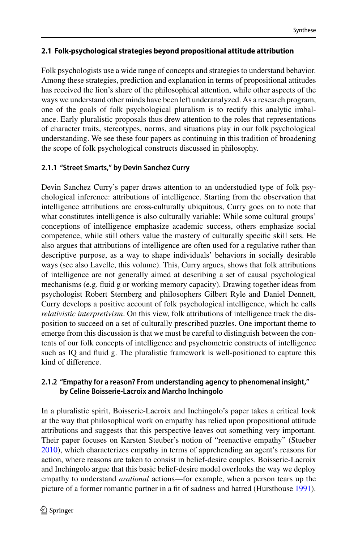# <span id="page-7-0"></span>**2.1 Folk-psychological strategies beyond propositional attitude attribution**

Folk psychologists use a wide range of concepts and strategies to understand behavior. Among these strategies, prediction and explanation in terms of propositional attitudes has received the lion's share of the philosophical attention, while other aspects of the ways we understand other minds have been left underanalyzed. As a research program, one of the goals of folk psychological pluralism is to rectify this analytic imbalance. Early pluralistic proposals thus drew attention to the roles that representations of character traits, stereotypes, norms, and situations play in our folk psychological understanding. We see these four papers as continuing in this tradition of broadening the scope of folk psychological constructs discussed in philosophy.

# **2.1.1 "Street Smarts," by Devin Sanchez Curry**

Devin Sanchez Curry's paper draws attention to an understudied type of folk psychological inference: attributions of intelligence. Starting from the observation that intelligence attributions are cross-culturally ubiquitous, Curry goes on to note that what constitutes intelligence is also culturally variable: While some cultural groups' conceptions of intelligence emphasize academic success, others emphasize social competence, while still others value the mastery of culturally specific skill sets. He also argues that attributions of intelligence are often used for a regulative rather than descriptive purpose, as a way to shape individuals' behaviors in socially desirable ways (see also Lavelle, this volume). This, Curry argues, shows that folk attributions of intelligence are not generally aimed at describing a set of causal psychological mechanisms (e.g. fluid g or working memory capacity). Drawing together ideas from psychologist Robert Sternberg and philosophers Gilbert Ryle and Daniel Dennett, Curry develops a positive account of folk psychological intelligence, which he calls *relativistic interpretivism*. On this view, folk attributions of intelligence track the disposition to succeed on a set of culturally prescribed puzzles. One important theme to emerge from this discussion is that we must be careful to distinguish between the contents of our folk concepts of intelligence and psychometric constructs of intelligence such as IQ and fluid g. The pluralistic framework is well-positioned to capture this kind of difference.

# **2.1.2 "Empathy for a reason? From understanding agency to phenomenal insight," by Celine Boisserie-Lacroix and Marcho Inchingolo**

In a pluralistic spirit, Boisserie-Lacroix and Inchingolo's paper takes a critical look at the way that philosophical work on empathy has relied upon propositional attitude attributions and suggests that this perspective leaves out something very important. Their paper focuses on Karsten Steuber's notion of "reenactive empathy" (Stueber [2010\)](#page-15-13), which characterizes empathy in terms of apprehending an agent's reasons for action, where reasons are taken to consist in belief-desire couples. Boisserie-Lacroix and Inchingolo argue that this basic belief-desire model overlooks the way we deploy empathy to understand *arational* actions—for example, when a person tears up the picture of a former romantic partner in a fit of sadness and hatred (Hursthouse [1991\)](#page-14-11).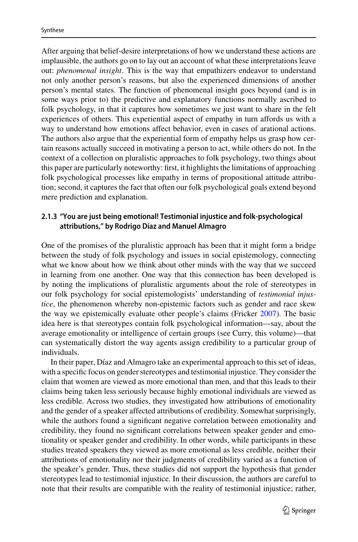After arguing that belief-desire interpretations of how we understand these actions are implausible, the authors go on to lay out an account of what these interpretations leave out: *phenomenal insight*. This is the way that empathizers endeavor to understand not only another person's reasons, but also the experienced dimensions of another person's mental states. The function of phenomenal insight goes beyond (and is in some ways prior to) the predictive and explanatory functions normally ascribed to folk psychology, in that it captures how sometimes we just want to share in the felt experiences of others. This experiential aspect of empathy in turn affords us with a way to understand how emotions affect behavior, even in cases of arational actions. The authors also argue that the experiential form of empathy helps us grasp how certain reasons actually succeed in motivating a person to act, while others do not. In the context of a collection on pluralistic approaches to folk psychology, two things about this paper are particularly noteworthy: first, it highlights the limitations of approaching folk psychological processes like empathy in terms of propositional attitude attribution; second, it captures the fact that often our folk psychological goals extend beyond mere prediction and explanation.

#### **2.1.3 "You are just being emotional! Testimonial injustice and folk-psychological attributions," by Rodrigo Díaz and Manuel Almagro**

One of the promises of the pluralistic approach has been that it might form a bridge between the study of folk psychology and issues in social epistemology, connecting what we know about how we think about other minds with the way that we succeed in learning from one another. One way that this connection has been developed is by noting the implications of pluralistic arguments about the role of stereotypes in our folk psychology for social epistemologists' understanding of *testimonial injustice*, the phenomenon whereby non-epistemic factors such as gender and race skew the way we epistemically evaluate other people's claims (Fricker [2007\)](#page-14-12). The basic idea here is that stereotypes contain folk psychological information—say, about the average emotionality or intelligence of certain groups (see Curry, this volume)—that can systematically distort the way agents assign credibility to a particular group of individuals.

In their paper, Díaz and Almagro take an experimental approach to this set of ideas, with a specific focus on gender stereotypes and testimonial injustice. They consider the claim that women are viewed as more emotional than men, and that this leads to their claims being taken less seriously because highly emotional individuals are viewed as less credible. Across two studies, they investigated how attributions of emotionality and the gender of a speaker affected attributions of credibility. Somewhat surprisingly, while the authors found a significant negative correlation between emotionality and credibility, they found no significant correlations between speaker gender and emotionality or speaker gender and credibility. In other words, while participants in these studies treated speakers they viewed as more emotional as less credible, neither their attributions of emotionality nor their judgments of credibility varied as a function of the speaker's gender. Thus, these studies did not support the hypothesis that gender stereotypes lead to testimonial injustice. In their discussion, the authors are careful to note that their results are compatible with the reality of testimonial injustice; rather,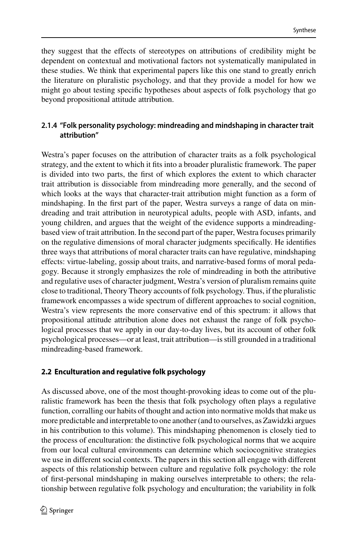they suggest that the effects of stereotypes on attributions of credibility might be dependent on contextual and motivational factors not systematically manipulated in these studies. We think that experimental papers like this one stand to greatly enrich the literature on pluralistic psychology, and that they provide a model for how we might go about testing specific hypotheses about aspects of folk psychology that go beyond propositional attitude attribution.

# **2.1.4 "Folk personality psychology: mindreading and mindshaping in character trait attribution"**

Westra's paper focuses on the attribution of character traits as a folk psychological strategy, and the extent to which it fits into a broader pluralistic framework. The paper is divided into two parts, the first of which explores the extent to which character trait attribution is dissociable from mindreading more generally, and the second of which looks at the ways that character-trait attribution might function as a form of mindshaping. In the first part of the paper, Westra surveys a range of data on mindreading and trait attribution in neurotypical adults, people with ASD, infants, and young children, and argues that the weight of the evidence supports a mindreadingbased view of trait attribution. In the second part of the paper, Westra focuses primarily on the regulative dimensions of moral character judgments specifically. He identifies three ways that attributions of moral character traits can have regulative, mindshaping effects: virtue-labeling, gossip about traits, and narrative-based forms of moral pedagogy. Because it strongly emphasizes the role of mindreading in both the attributive and regulative uses of character judgment, Westra's version of pluralism remains quite close to traditional, Theory Theory accounts of folk psychology. Thus, if the pluralistic framework encompasses a wide spectrum of different approaches to social cognition, Westra's view represents the more conservative end of this spectrum: it allows that propositional attitude attribution alone does not exhaust the range of folk psychological processes that we apply in our day-to-day lives, but its account of other folk psychological processes—or at least, trait attribution—is still grounded in a traditional mindreading-based framework.

# <span id="page-9-0"></span>**2.2 Enculturation and regulative folk psychology**

As discussed above, one of the most thought-provoking ideas to come out of the pluralistic framework has been the thesis that folk psychology often plays a regulative function, corralling our habits of thought and action into normative molds that make us more predictable and interpretable to one another (and to ourselves, as Zawidzki argues in his contribution to this volume). This mindshaping phenomenon is closely tied to the process of enculturation: the distinctive folk psychological norms that we acquire from our local cultural environments can determine which sociocognitive strategies we use in different social contexts. The papers in this section all engage with different aspects of this relationship between culture and regulative folk psychology: the role of first-personal mindshaping in making ourselves interpretable to others; the relationship between regulative folk psychology and enculturation; the variability in folk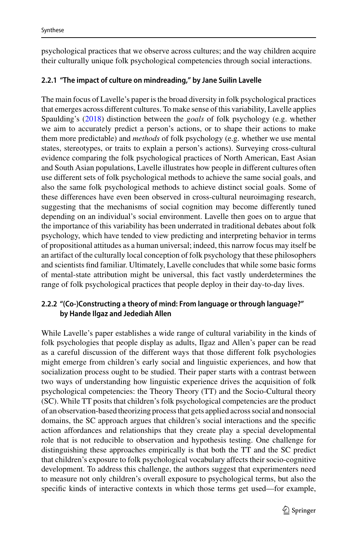psychological practices that we observe across cultures; and the way children acquire their culturally unique folk psychological competencies through social interactions.

#### **2.2.1 "The impact of culture on mindreading," by Jane Suilin Lavelle**

The main focus of Lavelle's paper is the broad diversity in folk psychological practices that emerges across different cultures. To make sense of this variability, Lavelle applies Spaulding's [\(2018\)](#page-15-5) distinction between the *goals* of folk psychology (e.g. whether we aim to accurately predict a person's actions, or to shape their actions to make them more predictable) and *methods* of folk psychology (e.g. whether we use mental states, stereotypes, or traits to explain a person's actions). Surveying cross-cultural evidence comparing the folk psychological practices of North American, East Asian and South Asian populations, Lavelle illustrates how people in different cultures often use different sets of folk psychological methods to achieve the same social goals, and also the same folk psychological methods to achieve distinct social goals. Some of these differences have even been observed in cross-cultural neuroimaging research, suggesting that the mechanisms of social cognition may become differently tuned depending on an individual's social environment. Lavelle then goes on to argue that the importance of this variability has been underrated in traditional debates about folk psychology, which have tended to view predicting and interpreting behavior in terms of propositional attitudes as a human universal; indeed, this narrow focus may itself be an artifact of the culturally local conception of folk psychology that these philosophers and scientists find familiar. Ultimately, Lavelle concludes that while some basic forms of mental-state attribution might be universal, this fact vastly underdetermines the range of folk psychological practices that people deploy in their day-to-day lives.

#### **2.2.2 "(Co-)Constructing a theory of mind: From language or through language?" by Hande Ilgaz and Jedediah Allen**

While Lavelle's paper establishes a wide range of cultural variability in the kinds of folk psychologies that people display as adults, Ilgaz and Allen's paper can be read as a careful discussion of the different ways that those different folk psychologies might emerge from children's early social and linguistic experiences, and how that socialization process ought to be studied. Their paper starts with a contrast between two ways of understanding how linguistic experience drives the acquisition of folk psychological competencies: the Theory Theory (TT) and the Socio-Cultural theory (SC). While TT posits that children's folk psychological competencies are the product of an observation-based theorizing process that gets applied across social and nonsocial domains, the SC approach argues that children's social interactions and the specific action affordances and relationships that they create play a special developmental role that is not reducible to observation and hypothesis testing. One challenge for distinguishing these approaches empirically is that both the TT and the SC predict that children's exposure to folk psychological vocabulary affects their socio-cognitive development. To address this challenge, the authors suggest that experimenters need to measure not only children's overall exposure to psychological terms, but also the specific kinds of interactive contexts in which those terms get used—for example,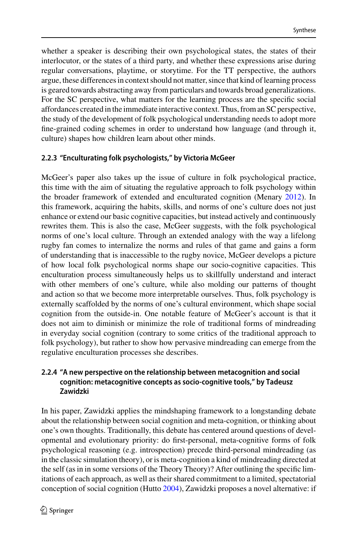whether a speaker is describing their own psychological states, the states of their interlocutor, or the states of a third party, and whether these expressions arise during regular conversations, playtime, or storytime. For the TT perspective, the authors argue, these differences in context should not matter, since that kind of learning process is geared towards abstracting away from particulars and towards broad generalizations. For the SC perspective, what matters for the learning process are the specific social affordances created in the immediate interactive context. Thus, from an SC perspective, the study of the development of folk psychological understanding needs to adopt more fine-grained coding schemes in order to understand how language (and through it, culture) shapes how children learn about other minds.

# **2.2.3 "Enculturating folk psychologists," by Victoria McGeer**

McGeer's paper also takes up the issue of culture in folk psychological practice, this time with the aim of situating the regulative approach to folk psychology within the broader framework of extended and enculturated cognition (Menary [2012\)](#page-15-14). In this framework, acquiring the habits, skills, and norms of one's culture does not just enhance or extend our basic cognitive capacities, but instead actively and continuously rewrites them. This is also the case, McGeer suggests, with the folk psychological norms of one's local culture. Through an extended analogy with the way a lifelong rugby fan comes to internalize the norms and rules of that game and gains a form of understanding that is inaccessible to the rugby novice, McGeer develops a picture of how local folk psychological norms shape our socio-cognitive capacities. This enculturation process simultaneously helps us to skillfully understand and interact with other members of one's culture, while also molding our patterns of thought and action so that we become more interpretable ourselves. Thus, folk psychology is externally scaffolded by the norms of one's cultural environment, which shape social cognition from the outside-in. One notable feature of McGeer's account is that it does not aim to diminish or minimize the role of traditional forms of mindreading in everyday social cognition (contrary to some critics of the traditional approach to folk psychology), but rather to show how pervasive mindreading can emerge from the regulative enculturation processes she describes.

# **2.2.4 "A new perspective on the relationship between metacognition and social cognition: metacognitive concepts as socio-cognitive tools," by Tadeusz Zawidzki**

In his paper, Zawidzki applies the mindshaping framework to a longstanding debate about the relationship between social cognition and meta-cognition, or thinking about one's own thoughts. Traditionally, this debate has centered around questions of developmental and evolutionary priority: do first-personal, meta-cognitive forms of folk psychological reasoning (e.g. introspection) precede third-personal mindreading (as in the classic simulation theory), or is meta-cognition a kind of mindreading directed at the self (as in in some versions of the Theory Theory)? After outlining the specific limitations of each approach, as well as their shared commitment to a limited, spectatorial conception of social cognition (Hutto [2004\)](#page-14-13), Zawidzki proposes a novel alternative: if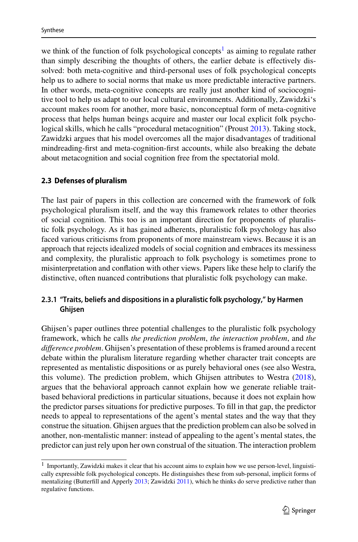we think of the function of folk psychological concepts<sup>1</sup> as aiming to regulate rather than simply describing the thoughts of others, the earlier debate is effectively dissolved: both meta-cognitive and third-personal uses of folk psychological concepts help us to adhere to social norms that make us more predictable interactive partners. In other words, meta-cognitive concepts are really just another kind of sociocognitive tool to help us adapt to our local cultural environments. Additionally, Zawidzki's account makes room for another, more basic, nonconceptual form of meta-cognitive process that helps human beings acquire and master our local explicit folk psychological skills, which he calls "procedural metacognition" (Proust [2013\)](#page-15-15). Taking stock, Zawidzki argues that his model overcomes all the major disadvantages of traditional mindreading-first and meta-cognition-first accounts, while also breaking the debate about metacognition and social cognition free from the spectatorial mold.

#### <span id="page-12-0"></span>**2.3 Defenses of pluralism**

The last pair of papers in this collection are concerned with the framework of folk psychological pluralism itself, and the way this framework relates to other theories of social cognition. This too is an important direction for proponents of pluralistic folk psychology. As it has gained adherents, pluralistic folk psychology has also faced various criticisms from proponents of more mainstream views. Because it is an approach that rejects idealized models of social cognition and embraces its messiness and complexity, the pluralistic approach to folk psychology is sometimes prone to misinterpretation and conflation with other views. Papers like these help to clarify the distinctive, often nuanced contributions that pluralistic folk psychology can make.

# **2.3.1 "Traits, beliefs and dispositions in a pluralistic folk psychology," by Harmen Ghijsen**

Ghijsen's paper outlines three potential challenges to the pluralistic folk psychology framework, which he calls *the prediction problem*, *the interaction problem*, and *the difference problem*. Ghijsen's presentation of these problems is framed around a recent debate within the pluralism literature regarding whether character trait concepts are represented as mentalistic dispositions or as purely behavioral ones (see also Westra, this volume). The prediction problem, which Ghijsen attributes to Westra [\(2018\)](#page-15-10), argues that the behavioral approach cannot explain how we generate reliable traitbased behavioral predictions in particular situations, because it does not explain how the predictor parses situations for predictive purposes. To fill in that gap, the predictor needs to appeal to representations of the agent's mental states and the way that they construe the situation. Ghijsen argues that the prediction problem can also be solved in another, non-mentalistic manner: instead of appealing to the agent's mental states, the predictor can just rely upon her own construal of the situation. The interaction problem

<span id="page-12-1"></span> $1$  Importantly, Zawidzki makes it clear that his account aims to explain how we use person-level, linguistically expressible folk psychological concepts. He distinguishes these from sub-personal, implicit forms of mentalizing (Butterfill and Apperly [2013;](#page-14-14) Zawidzki [2011\)](#page-15-16), which he thinks do serve predictive rather than regulative functions.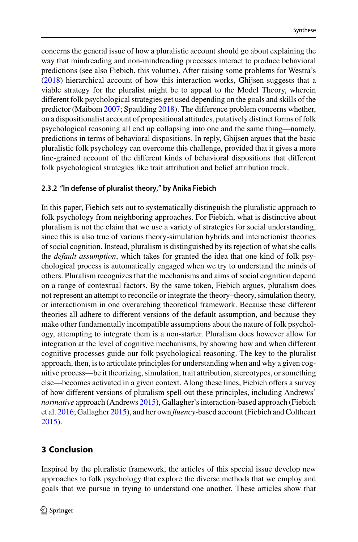concerns the general issue of how a pluralistic account should go about explaining the way that mindreading and non-mindreading processes interact to produce behavioral predictions (see also Fiebich, this volume). After raising some problems for Westra's [\(2018\)](#page-15-10) hierarchical account of how this interaction works, Ghijsen suggests that a viable strategy for the pluralist might be to appeal to the Model Theory, wherein different folk psychological strategies get used depending on the goals and skills of the predictor (Maibom [2007;](#page-14-8) Spaulding [2018\)](#page-15-5). The difference problem concerns whether, on a dispositionalist account of propositional attitudes, putatively distinct forms of folk psychological reasoning all end up collapsing into one and the same thing—namely, predictions in terms of behavioral dispositions. In reply, Ghijsen argues that the basic pluralistic folk psychology can overcome this challenge, provided that it gives a more fine-grained account of the different kinds of behavioral dispositions that different folk psychological strategies like trait attribution and belief attribution track.

# **2.3.2 "In defense of pluralist theory," by Anika Fiebich**

In this paper, Fiebich sets out to systematically distinguish the pluralistic approach to folk psychology from neighboring approaches. For Fiebich, what is distinctive about pluralism is not the claim that we use a variety of strategies for social understanding, since this is also true of various theory-simulation hybrids and interactionist theories of social cognition. Instead, pluralism is distinguished by its rejection of what she calls the *default assumption*, which takes for granted the idea that one kind of folk psychological process is automatically engaged when we try to understand the minds of others. Pluralism recognizes that the mechanisms and aims of social cognition depend on a range of contextual factors. By the same token, Fiebich argues, pluralism does not represent an attempt to reconcile or integrate the theory–theory, simulation theory, or interactionism in one overarching theoretical framework. Because these different theories all adhere to different versions of the default assumption, and because they make other fundamentally incompatible assumptions about the nature of folk psychology, attempting to integrate them is a non-starter. Pluralism does however allow for integration at the level of cognitive mechanisms, by showing how and when different cognitive processes guide our folk psychological reasoning. The key to the pluralist approach, then, is to articulate principles for understanding when and why a given cognitive process—be it theorizing, simulation, trait attribution, stereotypes, or something else—becomes activated in a given context. Along these lines, Fiebich offers a survey of how different versions of pluralism spell out these principles, including Andrews' *normative* approach (Andrews [2015\)](#page-14-15), Gallagher's interaction-based approach (Fiebich et al. [2016;](#page-14-16) Gallagher [2015\)](#page-14-17), and her own *fluency*-based account (Fiebich and Coltheart [2015\)](#page-14-18).

# **3 Conclusion**

Inspired by the pluralistic framework, the articles of this special issue develop new approaches to folk psychology that explore the diverse methods that we employ and goals that we pursue in trying to understand one another. These articles show that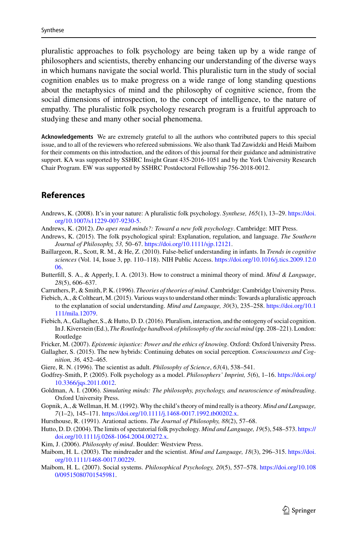pluralistic approaches to folk psychology are being taken up by a wide range of philosophers and scientists, thereby enhancing our understanding of the diverse ways in which humans navigate the social world. This pluralistic turn in the study of social cognition enables us to make progress on a wide range of long standing questions about the metaphysics of mind and the philosophy of cognitive science, from the social dimensions of introspection, to the concept of intelligence, to the nature of empathy. The pluralistic folk psychology research program is a fruitful approach to studying these and many other social phenomena.

**Acknowledgements** We are extremely grateful to all the authors who contributed papers to this special issue, and to all of the reviewers who refereed submissions. We also thank Tad Zawidzki and Heidi Maibom for their comments on this introduction, and the editors of this journal for their guidance and administrative support. KA was supported by SSHRC Insight Grant 435-2016-1051 and by the York University Research Chair Program. EW was supported by SSHRC Postdoctoral Fellowship 756-2018-0012.

#### **References**

- <span id="page-14-9"></span>And[rews, K. \(2008\). It's in your nature: A pluralistic folk psychology.](https://doi.org/10.1007/s11229-007-9230-5) *Synthese, 165*(1), 13–29. https://doi. org/10.1007/s11229-007-9230-5.
- <span id="page-14-10"></span>Andrews, K. (2012). *Do apes read minds?: Toward a new folk psychology*. Cambridge: MIT Press.
- <span id="page-14-15"></span>Andrews, K. (2015). The folk psychological spiral: Explanation, regulation, and language. *The Southern Journal of Philosophy, 53,* 50–67. [https://doi.org/10.1111/sjp.12121.](https://doi.org/10.1111/sjp.12121)
- <span id="page-14-3"></span>Baillargeon, R., Scott, R. M., & He, Z. (2010). False-belief understanding in infants. In *Trends in cognitive sciences* [\(Vol. 14, Issue 3, pp. 110–118\). NIH Public Access.](https://doi.org/10.1016/j.tics.2009.12.006) https://doi.org/10.1016/j.tics.2009.12.0 06.
- <span id="page-14-14"></span>Butterfill, S. A., & Apperly, I. A. (2013). How to construct a minimal theory of mind. *Mind & Language*, *28*(5), 606–637.
- <span id="page-14-0"></span>Carruthers, P., & Smith, P. K. (1996). *Theories of theories of mind*. Cambridge: Cambridge University Press.
- <span id="page-14-18"></span>Fiebich, A., & Coltheart, M. (2015). Various ways to understand other minds: Towards a pluralistic approach [to the explanation of social understanding.](https://doi.org/10.1111/mila.12079) *Mind and Language, 30*(3), 235–258. https://doi.org/10.1 111/mila.12079.
- <span id="page-14-16"></span>Fiebich, A., Gallagher, S., & Hutto, D. D. (2016). Pluralism, interaction, and the ontogeny of social cognition. In J. Kiverstein (Ed.), *The Routledge handbook of philosophy of the social mind* (pp. 208–221). London: Routledge
- <span id="page-14-12"></span>Fricker, M. (2007). *Epistemic injustice: Power and the ethics of knowing*. Oxford: Oxford University Press.
- <span id="page-14-17"></span>Gallagher, S. (2015). The new hybrids: Continuing debates on social perception. *Consciousness and Cognition, 36,* 452–465.
- <span id="page-14-5"></span>Giere, R. N. (1996). The scientist as adult. *Philosophy of Science*, *63*(4), 538–541.
- <span id="page-14-6"></span>God[frey-Smith, P. \(2005\). Folk psychology as a model.](https://doi.org/10.3366/jqs.2011.0012) *Philosophers' Imprint, 5*(6), 1–16. https://doi.org/ 10.3366/jqs.2011.0012.
- <span id="page-14-1"></span>Goldman, A. I. (2006). *Simulating minds: The philosophy, psychology, and neuroscience of mindreading*. Oxford University Press.
- <span id="page-14-4"></span>Gopnik, A., & Wellman, H. M. (1992). Why the child's theory of mind really is a theory. *Mind and Language, 7*(1–2), 145–171. [https://doi.org/10.1111/j.1468-0017.1992.tb00202.x.](https://doi.org/10.1111/j.1468-0017.1992.tb00202.x)
- <span id="page-14-11"></span>Hursthouse, R. (1991). Arational actions. *The Journal of Philosophy, 88*(2), 57–68.
- <span id="page-14-13"></span>Hutt[o, D. D. \(2004\). The limits of spectatorial folk psychology.](https://doi.org/10.1111/j.0268-1064.2004.00272.x) *Mind and Language, 19*(5), 548–573. https:// doi.org/10.1111/j.0268-1064.2004.00272.x.
- <span id="page-14-2"></span>Kim, J. (2006). *Philosophy of mind*. Boulder: Westview Press.
- <span id="page-14-7"></span>Mai[bom, H. L. \(2003\). The mindreader and the scientist.](https://doi.org/10.1111/1468-0017.00229) *Mind and Language, 18*(3), 296–315. https://doi. org/10.1111/1468-0017.00229.
- <span id="page-14-8"></span>Mai[bom, H. L. \(2007\). Social systems.](https://doi.org/10.1080/09515080701545981) *Philosophical Psychology, 20*(5), 557–578. https://doi.org/10.108 0/09515080701545981.